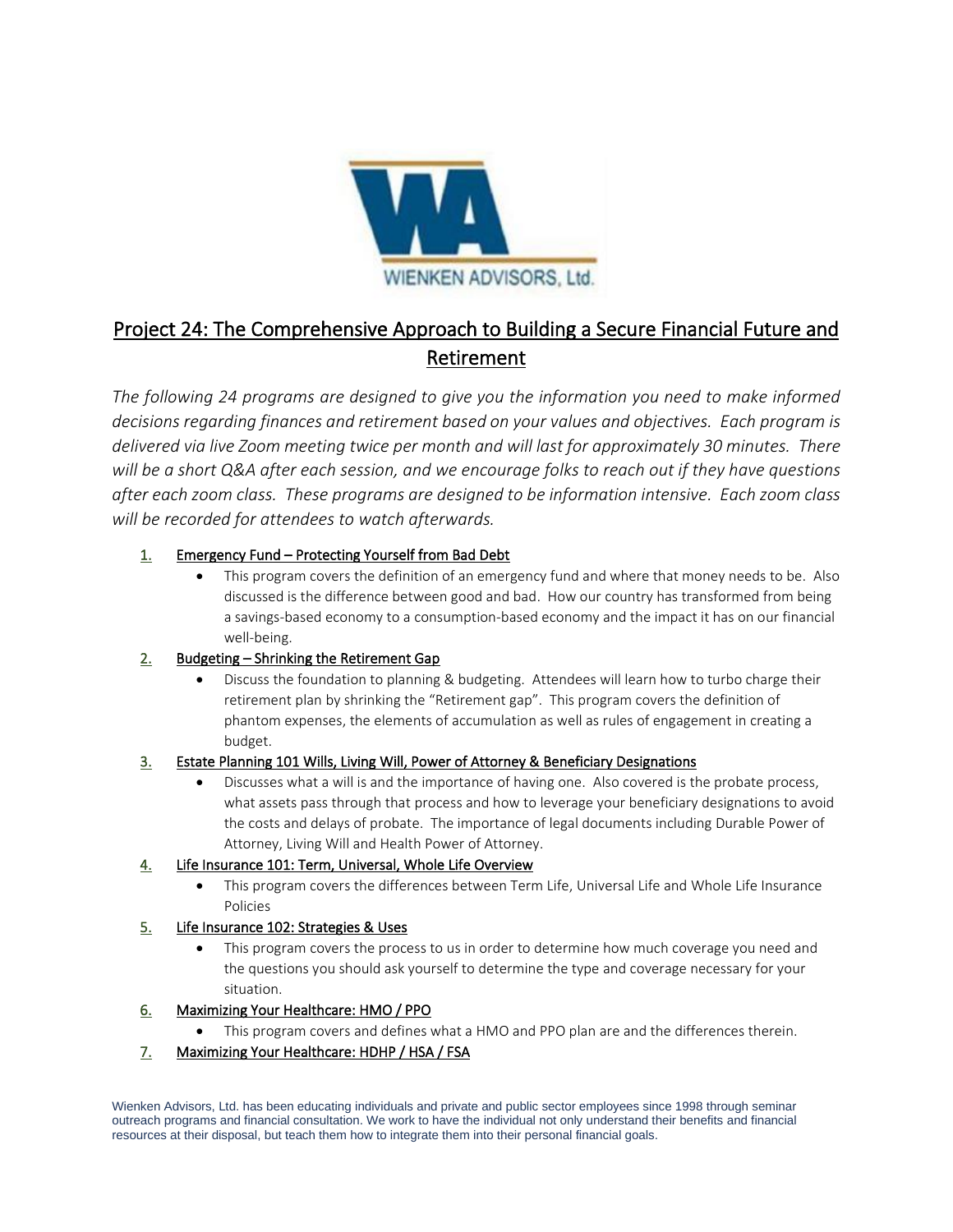

# Project 24: The Comprehensive Approach to Building a Secure Financial Future and Retirement

*The following 24 programs are designed to give you the information you need to make informed decisions regarding finances and retirement based on your values and objectives. Each program is delivered via live Zoom meeting twice per month and will last for approximately 30 minutes. There will be a short Q&A after each session, and we encourage folks to reach out if they have questions after each zoom class. These programs are designed to be information intensive. Each zoom class will be recorded for attendees to watch afterwards.* 

## 1. Emergency Fund – Protecting Yourself from Bad Debt

This program covers the definition of an emergency fund and where that money needs to be. Also discussed is the difference between good and bad. How our country has transformed from being a savings-based economy to a consumption-based economy and the impact it has on our financial well-being.

# 2. Budgeting - Shrinking the Retirement Gap

• Discuss the foundation to planning & budgeting. Attendees will learn how to turbo charge their retirement plan by shrinking the "Retirement gap". This program covers the definition of phantom expenses, the elements of accumulation as well as rules of engagement in creating a budget.

# 3. Estate Planning 101 Wills, Living Will, Power of Attorney & Beneficiary Designations

• Discusses what a will is and the importance of having one. Also covered is the probate process, what assets pass through that process and how to leverage your beneficiary designations to avoid the costs and delays of probate. The importance of legal documents including Durable Power of Attorney, Living Will and Health Power of Attorney.

### 4. Life Insurance 101: Term, Universal, Whole Life Overview

• This program covers the differences between Term Life, Universal Life and Whole Life Insurance Policies

### 5. Life Insurance 102: Strategies & Uses

This program covers the process to us in order to determine how much coverage you need and the questions you should ask yourself to determine the type and coverage necessary for your situation.

### 6. Maximizing Your Healthcare: HMO / PPO

• This program covers and defines what a HMO and PPO plan are and the differences therein.

# 7. Maximizing Your Healthcare: HDHP / HSA / FSA

Wienken Advisors, Ltd. has been educating individuals and private and public sector employees since 1998 through seminar outreach programs and financial consultation. We work to have the individual not only understand their benefits and financial resources at their disposal, but teach them how to integrate them into their personal financial goals.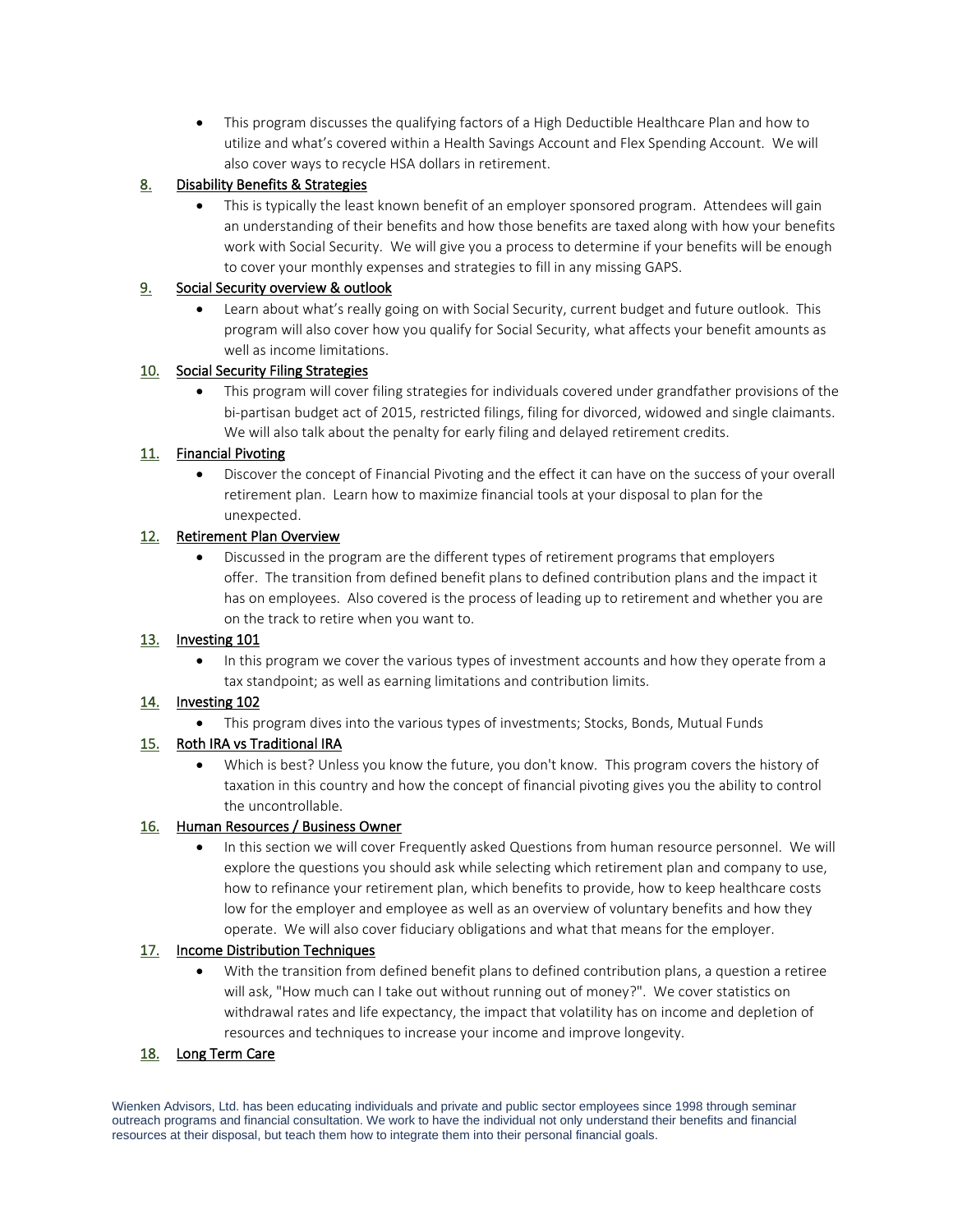• This program discusses the qualifying factors of a High Deductible Healthcare Plan and how to utilize and what's covered within a Health Savings Account and Flex Spending Account. We will also cover ways to recycle HSA dollars in retirement.

## 8. Disability Benefits & Strategies

• This is typically the least known benefit of an employer sponsored program. Attendees will gain an understanding of their benefits and how those benefits are taxed along with how your benefits work with Social Security. We will give you a process to determine if your benefits will be enough to cover your monthly expenses and strategies to fill in any missing GAPS.

## 9. Social Security overview & outlook

• Learn about what's really going on with Social Security, current budget and future outlook. This program will also cover how you qualify for Social Security, what affects your benefit amounts as well as income limitations.

## 10. Social Security Filing Strategies

• This program will cover filing strategies for individuals covered under grandfather provisions of the bi-partisan budget act of 2015, restricted filings, filing for divorced, widowed and single claimants. We will also talk about the penalty for early filing and delayed retirement credits.

## 11. Financial Pivoting

• Discover the concept of Financial Pivoting and the effect it can have on the success of your overall retirement plan. Learn how to maximize financial tools at your disposal to plan for the unexpected.

## 12. Retirement Plan Overview

• Discussed in the program are the different types of retirement programs that employers offer. The transition from defined benefit plans to defined contribution plans and the impact it has on employees. Also covered is the process of leading up to retirement and whether you are on the track to retire when you want to.

# 13. Investing 101

• In this program we cover the various types of investment accounts and how they operate from a tax standpoint; as well as earning limitations and contribution limits.

### 14. Investing 102

• This program dives into the various types of investments; Stocks, Bonds, Mutual Funds

# 15. Roth IRA vs Traditional IRA

• Which is best? Unless you know the future, you don't know. This program covers the history of taxation in this country and how the concept of financial pivoting gives you the ability to control the uncontrollable.

### 16. Human Resources / Business Owner

• In this section we will cover Frequently asked Questions from human resource personnel. We will explore the questions you should ask while selecting which retirement plan and company to use, how to refinance your retirement plan, which benefits to provide, how to keep healthcare costs low for the employer and employee as well as an overview of voluntary benefits and how they operate. We will also cover fiduciary obligations and what that means for the employer.

### 17. Income Distribution Techniques

• With the transition from defined benefit plans to defined contribution plans, a question a retiree will ask, "How much can I take out without running out of money?". We cover statistics on withdrawal rates and life expectancy, the impact that volatility has on income and depletion of resources and techniques to increase your income and improve longevity.

# 18. Long Term Care

Wienken Advisors, Ltd. has been educating individuals and private and public sector employees since 1998 through seminar outreach programs and financial consultation. We work to have the individual not only understand their benefits and financial resources at their disposal, but teach them how to integrate them into their personal financial goals.